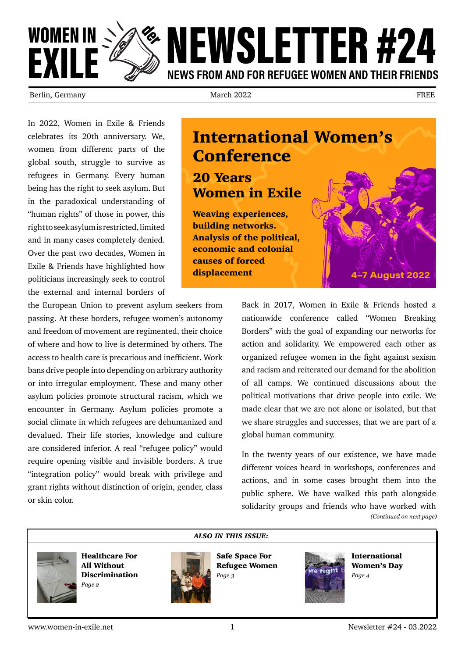

Berlin, Germany **Example 2022** March 2022 **FREE** 

In 2022, Women in Exile & Friends celebrates its 20th anniversary. We, women from different parts of the global south, struggle to survive as refugees in Germany. Every human being has the right to seek asylum. But in the paradoxical understanding of "human rights" of those in power, this right to seek asylum is restricted, limited and in many cases completely denied. Over the past two decades, Women in Exile & Friends have highlighted how politicians increasingly seek to control the external and internal borders of

the European Union to prevent asylum seekers from passing. At these borders, refugee women's autonomy and freedom of movement are regimented, their choice of where and how to live is determined by others. The access to health care is precarious and inefficient. Work bans drive people into depending on arbitrary authority or into irregular employment. These and many other asylum policies promote structural racism, which we encounter in Germany. Asylum policies promote a social climate in which refugees are dehumanized and devalued. Their life stories, knowledge and culture are considered inferior. A real "refugee policy" would require opening visible and invisible borders. A true "integration policy" would break with privilege and grant rights without distinction of origin, gender, class or skin color.

### International Women's Conference

#### 20 Years Women in Exile

Weaving experiences, building networks. Analysis of the political, economic and colonial causes of forced displacement



Back in 2017, Women in Exile & Friends hosted a nationwide conference called "Women Breaking Borders" with the goal of expanding our networks for action and solidarity. We empowered each other as organized refugee women in the fight against sexism and racism and reiterated our demand for the abolition of all camps. We continued discussions about the political motivations that drive people into exile. We made clear that we are not alone or isolated, but that we share struggles and successes, that we are part of a global human community.

In the twenty years of our existence, we have made different voices heard in workshops, conferences and actions, and in some cases brought them into the public sphere. We have walked this path alongside solidarity groups and friends who have worked with *(Continued on next page)*



Healthcare For All Without Discrimination *Page 2*



Safe Space For Refugee Women *Page 3*

*ALSO IN THIS ISSUE:*



International Women's Day *Page 4*

www.women-in-exile.net 1 1 1 Newsletter #24 - 03.2022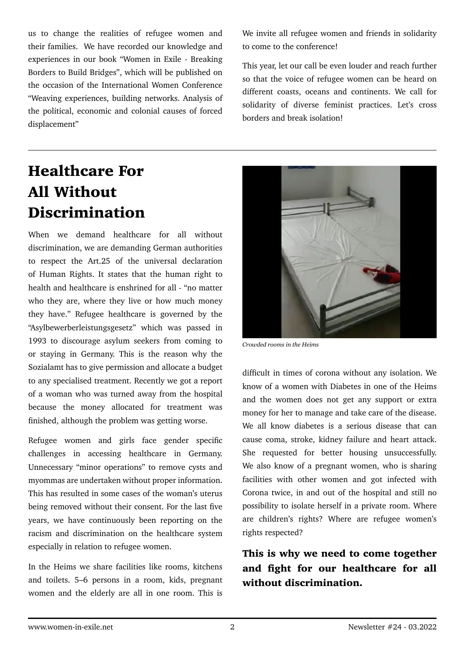us to change the realities of refugee women and their families. We have recorded our knowledge and experiences in our book "Women in Exile - Breaking Borders to Build Bridges", which will be published on the occasion of the International Women Conference "Weaving experiences, building networks. Analysis of the political, economic and colonial causes of forced displacement"

### Healthcare For All Without Discrimination

When we demand healthcare for all without discrimination, we are demanding German authorities to respect the Art.25 of the universal declaration of Human Rights. It states that the human right to health and healthcare is enshrined for all - "no matter who they are, where they live or how much money they have." Refugee healthcare is governed by the "Asylbewerberleistungsgesetz" which was passed in 1993 to discourage asylum seekers from coming to or staying in Germany. This is the reason why the Sozialamt has to give permission and allocate a budget to any specialised treatment. Recently we got a report of a woman who was turned away from the hospital because the money allocated for treatment was finished, although the problem was getting worse.

Refugee women and girls face gender specific challenges in accessing healthcare in Germany. Unnecessary "minor operations" to remove cysts and myommas are undertaken without proper information. This has resulted in some cases of the woman's uterus being removed without their consent. For the last five years, we have continuously been reporting on the racism and discrimination on the healthcare system especially in relation to refugee women.

In the Heims we share facilities like rooms, kitchens and toilets. 5–6 persons in a room, kids, pregnant women and the elderly are all in one room. This is We invite all refugee women and friends in solidarity to come to the conference!

This year, let our call be even louder and reach further so that the voice of refugee women can be heard on different coasts, oceans and continents. We call for solidarity of diverse feminist practices. Let's cross borders and break isolation!



*Crowded rooms in the Heims*

difficult in times of corona without any isolation. We know of a women with Diabetes in one of the Heims and the women does not get any support or extra money for her to manage and take care of the disease. We all know diabetes is a serious disease that can cause coma, stroke, kidney failure and heart attack. She requested for better housing unsuccessfully. We also know of a pregnant women, who is sharing facilities with other women and got infected with Corona twice, in and out of the hospital and still no possibility to isolate herself in a private room. Where are children's rights? Where are refugee women's rights respected?

This is why we need to come together and fight for our healthcare for all without discrimination.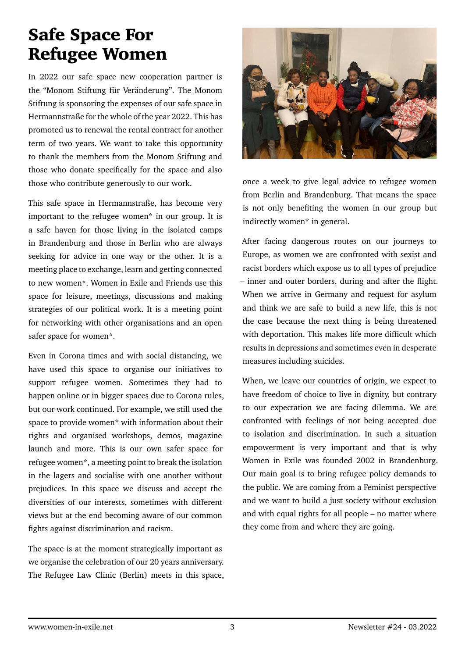## Safe Space For Refugee Women

In 2022 our safe space new cooperation partner is the "Monom Stiftung für Veränderung". The Monom Stiftung is sponsoring the expenses of our safe space in Hermannstraße for the whole of the year 2022. This has promoted us to renewal the rental contract for another term of two years. We want to take this opportunity to thank the members from the Monom Stiftung and those who donate specifically for the space and also those who contribute generously to our work.

This safe space in Hermannstraße, has become very important to the refugee women\* in our group. It is a safe haven for those living in the isolated camps in Brandenburg and those in Berlin who are always seeking for advice in one way or the other. It is a meeting place to exchange, learn and getting connected to new women\*. Women in Exile and Friends use this space for leisure, meetings, discussions and making strategies of our political work. It is a meeting point for networking with other organisations and an open safer space for women\*.

Even in Corona times and with social distancing, we have used this space to organise our initiatives to support refugee women. Sometimes they had to happen online or in bigger spaces due to Corona rules, but our work continued. For example, we still used the space to provide women\* with information about their rights and organised workshops, demos, magazine launch and more. This is our own safer space for refugee women\*, a meeting point to break the isolation in the lagers and socialise with one another without prejudices. In this space we discuss and accept the diversities of our interests, sometimes with different views but at the end becoming aware of our common fights against discrimination and racism.

The space is at the moment strategically important as we organise the celebration of our 20 years anniversary. The Refugee Law Clinic (Berlin) meets in this space,



once a week to give legal advice to refugee women from Berlin and Brandenburg. That means the space is not only benefiting the women in our group but indirectly women\* in general.

After facing dangerous routes on our journeys to Europe, as women we are confronted with sexist and racist borders which expose us to all types of prejudice – inner and outer borders, during and after the flight. When we arrive in Germany and request for asylum and think we are safe to build a new life, this is not the case because the next thing is being threatened with deportation. This makes life more difficult which results in depressions and sometimes even in desperate measures including suicides.

When, we leave our countries of origin, we expect to have freedom of choice to live in dignity, but contrary to our expectation we are facing dilemma. We are confronted with feelings of not being accepted due to isolation and discrimination. In such a situation empowerment is very important and that is why Women in Exile was founded 2002 in Brandenburg. Our main goal is to bring refugee policy demands to the public. We are coming from a Feminist perspective and we want to build a just society without exclusion and with equal rights for all people – no matter where they come from and where they are going.